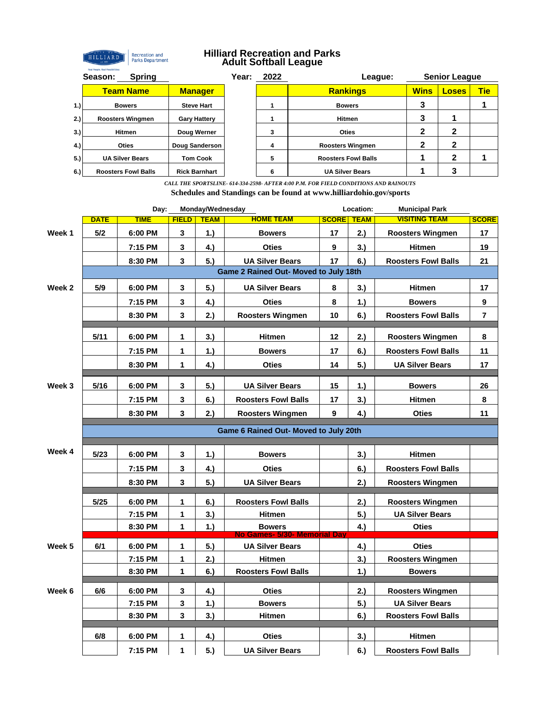

## **Hilliard Recreation and Parks Adult Softball League**

|     | <b>Spring</b><br>Season:   |                      | Year: | 2022 | League:                    |             | <b>Senior League</b> |            |
|-----|----------------------------|----------------------|-------|------|----------------------------|-------------|----------------------|------------|
|     | <b>Team Name</b>           | <b>Manager</b>       |       |      | <b>Rankings</b>            | <b>Wins</b> | <b>Loses</b>         | <b>Tie</b> |
| 1.) | <b>Bowers</b>              | <b>Steve Hart</b>    |       |      | <b>Bowers</b>              | 3           |                      |            |
| 2.) | <b>Roosters Wingmen</b>    | <b>Gary Hattery</b>  |       |      | <b>Hitmen</b>              |             |                      |            |
| 3.) | Hitmen                     | Doug Werner          |       | 3    | <b>Oties</b>               | 2           | 2                    |            |
| 4.) | <b>Oties</b>               | Doug Sanderson       |       | 4    | <b>Roosters Wingmen</b>    | າ           | າ                    |            |
| 5.) | <b>UA Silver Bears</b>     | <b>Tom Cook</b>      |       | 5    | <b>Roosters Fowl Balls</b> |             | 2                    |            |
| 6.) | <b>Roosters Fowl Balls</b> | <b>Rick Barnhart</b> |       | 6    | <b>UA Silver Bears</b>     |             |                      |            |

*CALL THE SPORTSLINE- 614-334-2598- AFTER 4:00 P.M. FOR FIELD CONDITIONS AND RAINOUTS* **Schedules and Standings can be found at www.hilliardohio.gov/sports**

|                                       | Day:<br>Monday/Wednesday              |             |              |             | Location:<br><b>Municipal Park</b> |                   |     |                            |              |  |  |
|---------------------------------------|---------------------------------------|-------------|--------------|-------------|------------------------------------|-------------------|-----|----------------------------|--------------|--|--|
|                                       | <b>DATE</b>                           | <b>TIME</b> | <b>FIELD</b> | <b>TEAM</b> | <b>HOME TEAM</b>                   | <b>SCORE TEAM</b> |     | <b>VISITING TEAM</b>       | <b>SCORE</b> |  |  |
| Week 1                                | 5/2                                   | 6:00 PM     | $\mathbf{3}$ | 1.          | <b>Bowers</b>                      | 17                | 2.) | <b>Roosters Wingmen</b>    | 17           |  |  |
|                                       |                                       | 7:15 PM     | 3            | 4.)         | <b>Oties</b>                       | 9                 | 3.) | <b>Hitmen</b>              | 19           |  |  |
|                                       |                                       | 8:30 PM     | 3            | 5.)         | <b>UA Silver Bears</b>             | 17                | 6.) | <b>Roosters Fowl Balls</b> | 21           |  |  |
| Game 2 Rained Out- Moved to July 18th |                                       |             |              |             |                                    |                   |     |                            |              |  |  |
| Week 2                                | 5/9                                   | 6:00 PM     | 3            | 5.)         | <b>UA Silver Bears</b>             | 8                 | 3.) | <b>Hitmen</b>              | 17           |  |  |
|                                       |                                       | 7:15 PM     | 3            | 4.)         | <b>Oties</b>                       | 8                 | 1.) | <b>Bowers</b>              | 9            |  |  |
|                                       |                                       | 8:30 PM     | 3            | 2.)         | <b>Roosters Wingmen</b>            | 10                | 6.) | <b>Roosters Fowl Balls</b> | 7            |  |  |
|                                       | 5/11                                  | 6:00 PM     | 1            | 3.          | <b>Hitmen</b>                      | 12                | 2.) | <b>Roosters Wingmen</b>    | 8            |  |  |
|                                       |                                       | 7:15 PM     | 1            | 1.          | <b>Bowers</b>                      | 17                | 6.) | <b>Roosters Fowl Balls</b> | 11           |  |  |
|                                       |                                       | 8:30 PM     | 1            | 4.)         | <b>Oties</b>                       | 14                | 5.) | <b>UA Silver Bears</b>     | 17           |  |  |
|                                       |                                       |             |              |             |                                    |                   |     |                            |              |  |  |
| Week 3                                | 5/16                                  | 6:00 PM     | 3            | 5.)         | <b>UA Silver Bears</b>             | 15                | 1.) | <b>Bowers</b>              | 26           |  |  |
|                                       |                                       | 7:15 PM     | 3            | 6.)         | <b>Roosters Fowl Balls</b>         | 17                | 3.) | <b>Hitmen</b>              | 8            |  |  |
|                                       |                                       | 8:30 PM     | 3            | 2.)         | <b>Roosters Wingmen</b>            | 9                 | 4.) | <b>Oties</b>               | 11           |  |  |
|                                       | Game 6 Rained Out- Moved to July 20th |             |              |             |                                    |                   |     |                            |              |  |  |
|                                       |                                       |             |              |             |                                    |                   |     |                            |              |  |  |
| Week 4                                | 5/23                                  | 6:00 PM     | 3            | 1.)         | <b>Bowers</b>                      |                   | 3.) | <b>Hitmen</b>              |              |  |  |
|                                       |                                       | 7:15 PM     | 3            | 4.)         | <b>Oties</b>                       |                   | 6.) | <b>Roosters Fowl Balls</b> |              |  |  |
|                                       |                                       | 8:30 PM     | 3            | 5.)         | <b>UA Silver Bears</b>             |                   | 2.) | <b>Roosters Wingmen</b>    |              |  |  |
|                                       | 5/25                                  | 6:00 PM     | 1            | 6.)         | <b>Roosters Fowl Balls</b>         |                   | 2.) | <b>Roosters Wingmen</b>    |              |  |  |
|                                       |                                       | 7:15 PM     | 1            | 3.)         | <b>Hitmen</b>                      |                   | 5.) | <b>UA Silver Bears</b>     |              |  |  |
|                                       |                                       | 8:30 PM     | 1            | 1.)         | <b>Bowers</b>                      |                   | 4.) | <b>Oties</b>               |              |  |  |
|                                       |                                       |             |              |             | No Games- 5/30- Memorial Dav       |                   |     |                            |              |  |  |
| Week 5                                | 6/1                                   | 6:00 PM     | 1            | 5.)         | <b>UA Silver Bears</b>             |                   | 4.) | <b>Oties</b>               |              |  |  |
|                                       |                                       | 7:15 PM     | 1            | 2.)         | <b>Hitmen</b>                      |                   | 3.) | <b>Roosters Wingmen</b>    |              |  |  |
|                                       |                                       | 8:30 PM     | 1            | 6.)         | <b>Roosters Fowl Balls</b>         |                   | 1.) | <b>Bowers</b>              |              |  |  |
| Week 6                                | 6/6                                   | 6:00 PM     | 3            | 4.)         | <b>Oties</b>                       |                   | 2.) | <b>Roosters Wingmen</b>    |              |  |  |
|                                       |                                       | 7:15 PM     | 3            | 1.          | <b>Bowers</b>                      |                   | 5.) | <b>UA Silver Bears</b>     |              |  |  |
|                                       |                                       | 8:30 PM     | 3            | 3.)         | <b>Hitmen</b>                      |                   | 6.) | <b>Roosters Fowl Balls</b> |              |  |  |
|                                       | 6/8                                   |             |              |             |                                    |                   |     |                            |              |  |  |
|                                       |                                       | 6:00 PM     | 1            | 4.)         | <b>Oties</b>                       |                   | 3.) | <b>Hitmen</b>              |              |  |  |
|                                       |                                       | 7:15 PM     | 1            | 5.)         | <b>UA Silver Bears</b>             |                   | 6.) | <b>Roosters Fowl Balls</b> |              |  |  |